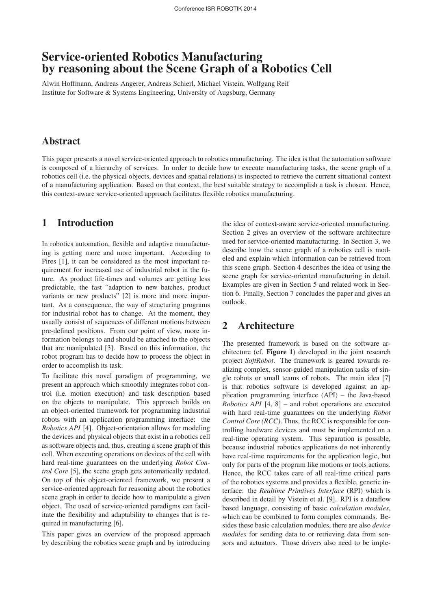# Service-oriented Robotics Manufacturing by reasoning about the Scene Graph of a Robotics Cell

Alwin Hoffmann, Andreas Angerer, Andreas Schierl, Michael Vistein, Wolfgang Reif Institute for Software & Systems Engineering, University of Augsburg, Germany

# Abstract

This paper presents a novel service-oriented approach to robotics manufacturing. The idea is that the automation software is composed of a hierarchy of services. In order to decide how to execute manufacturing tasks, the scene graph of a robotics cell (i.e. the physical objects, devices and spatial relations) is inspected to retrieve the current situational context of a manufacturing application. Based on that context, the best suitable strategy to accomplish a task is chosen. Hence, this context-aware service-oriented approach facilitates flexible robotics manufacturing.

# 1 Introduction

In robotics automation, flexible and adaptive manufacturing is getting more and more important. According to Pires [1], it can be considered as the most important requirement for increased use of industrial robot in the future. As product life-times and volumes are getting less predictable, the fast "adaption to new batches, product variants or new products" [2] is more and more important. As a consequence, the way of structuring programs for industrial robot has to change. At the moment, they usually consist of sequences of different motions between pre-defined positions. From our point of view, more information belongs to and should be attached to the objects that are manipulated [3]. Based on this information, the robot program has to decide how to process the object in order to accomplish its task.

To facilitate this novel paradigm of programming, we present an approach which smoothly integrates robot control (i.e. motion execution) and task description based on the objects to manipulate. This approach builds on an object-oriented framework for programming industrial robots with an application programming interface: the *Robotics API* [4]. Object-orientation allows for modeling the devices and physical objects that exist in a robotics cell as software objects and, thus, creating a scene graph of this cell. When executing operations on devices of the cell with hard real-time guarantees on the underlying *Robot Control Core* [5], the scene graph gets automatically updated. On top of this object-oriented framework, we present a service-oriented approach for reasoning about the robotics scene graph in order to decide how to manipulate a given object. The used of service-oriented paradigms can facilitate the flexibility and adaptability to changes that is required in manufacturing [6].

This paper gives an overview of the proposed approach by describing the robotics scene graph and by introducing the idea of context-aware service-oriented manufacturing. Section 2 gives an overview of the software architecture used for service-oriented manufacturing. In Section 3, we describe how the scene graph of a robotics cell is modeled and explain which information can be retrieved from this scene graph. Section 4 describes the idea of using the scene graph for service-oriented manufacturing in detail. Examples are given in Section 5 and related work in Section 6. Finally, Section 7 concludes the paper and gives an outlook.

### 2 Architecture

The presented framework is based on the software architecture (cf. Figure 1) developed in the joint research project *SoftRobot*. The framework is geared towards realizing complex, sensor-guided manipulation tasks of single robots or small teams of robots. The main idea [7] is that robotics software is developed against an application programming interface (API) – the Java-based *Robotics API* [4, 8] – and robot operations are executed with hard real-time guarantees on the underlying *Robot Control Core (RCC)*. Thus, the RCC is responsible for controlling hardware devices and must be implemented on a real-time operating system. This separation is possible, because industrial robotics applications do not inherently have real-time requirements for the application logic, but only for parts of the program like motions or tools actions. Hence, the RCC takes care of all real-time critical parts of the robotics systems and provides a flexible, generic interface: the *Realtime Primtives Interface* (RPI) which is described in detail by Vistein et al. [9]. RPI is a dataflow based language, consisting of basic *calculation modules*, which can be combined to form complex commands. Besides these basic calculation modules, there are also *device modules* for sending data to or retrieving data from sensors and actuators. Those drivers also need to be imple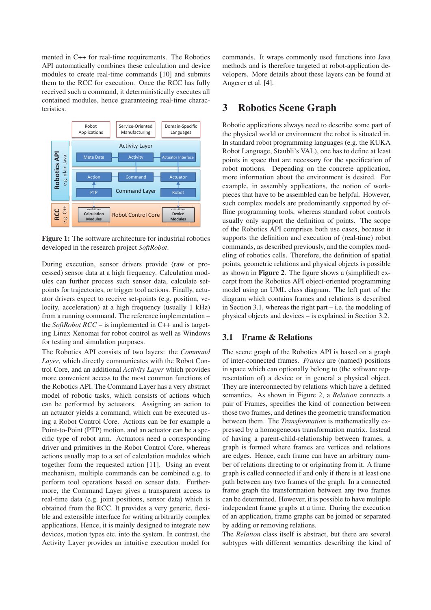mented in C++ for real-time requirements. The Robotics API automatically combines these calculation and device modules to create real-time commands [10] and submits them to the RCC for execution. Once the RCC has fully received such a command, it deterministically executes all contained modules, hence guaranteeing real-time characteristics.



Figure 1: The software architecture for industrial robotics developed in the research project *SoftRobot*.

During execution, sensor drivers provide (raw or processed) sensor data at a high frequency. Calculation modules can further process such sensor data, calculate setpoints for trajectories, or trigger tool actions. Finally, actuator drivers expect to receive set-points (e.g. position, velocity, acceleration) at a high frequency (usually 1 kHz) from a running command. The reference implementation – the *SoftRobot RCC* – is implemented in C++ and is targeting Linux Xenomai for robot control as well as Windows for testing and simulation purposes.

The Robotics API consists of two layers: the *Command Layer*, which directly communicates with the Robot Control Core, and an additional *Activity Layer* which provides more convenient access to the most common functions of the Robotics API. The Command Layer has a very abstract model of robotic tasks, which consists of actions which can be performed by actuators. Assigning an action to an actuator yields a command, which can be executed using a Robot Control Core. Actions can be for example a Point-to-Point (PTP) motion, and an actuator can be a specific type of robot arm. Actuators need a corresponding driver and primitives in the Robot Control Core, whereas actions usually map to a set of calculation modules which together form the requested action [11]. Using an event mechanism, multiple commands can be combined e.g. to perform tool operations based on sensor data. Furthermore, the Command Layer gives a transparent access to real-time data (e.g. joint positions, sensor data) which is obtained from the RCC. It provides a very generic, flexible and extensible interface for writing arbitrarily complex applications. Hence, it is mainly designed to integrate new devices, motion types etc. into the system. In contrast, the Activity Layer provides an intuitive execution model for commands. It wraps commonly used functions into Java methods and is therefore targeted at robot-application developers. More details about these layers can be found at Angerer et al. [4].

### 3 Robotics Scene Graph

Robotic applications always need to describe some part of the physical world or environment the robot is situated in. In standard robot programming languages (e.g. the KUKA Robot Language, Staubli's VAL), one has to define at least points in space that are necessary for the specification of robot motions. Depending on the concrete application, more information about the environment is desired. For example, in assembly applications, the notion of workpieces that have to be assembled can be helpful. However, such complex models are predominantly supported by offline programming tools, whereas standard robot controls usually only support the definition of points. The scope of the Robotics API comprises both use cases, because it supports the definition and execution of (real-time) robot commands, as described previously, and the complex modeling of robotics cells. Therefore, the definition of spatial points, geometric relations and physical objects is possible as shown in Figure 2. The figure shows a (simplified) excerpt from the Robotics API object-oriented programming model using an UML class diagram. The left part of the diagram which contains frames and relations is described in Section 3.1, whereas the right part – i.e. the modeling of physical objects and devices – is explained in Section 3.2.

#### 3.1 Frame & Relations

The scene graph of the Robotics API is based on a graph of inter-connected frames. *Frames* are (named) positions in space which can optionally belong to (the software representation of) a device or in general a physical object. They are interconnected by relations which have a defined semantics. As shown in Figure 2, a *Relation* connects a pair of Frames, specifies the kind of connection between those two frames, and defines the geometric transformation between them. The *Transformation* is mathematically expressed by a homogeneous transformation matrix. Instead of having a parent-child-relationship between frames, a graph is formed where frames are vertices and relations are edges. Hence, each frame can have an arbitrary number of relations directing to or originating from it. A frame graph is called connected if and only if there is at least one path between any two frames of the graph. In a connected frame graph the transformation between any two frames can be determined. However, it is possible to have multiple independent frame graphs at a time. During the execution of an application, frame graphs can be joined or separated by adding or removing relations.

The *Relation* class itself is abstract, but there are several subtypes with different semantics describing the kind of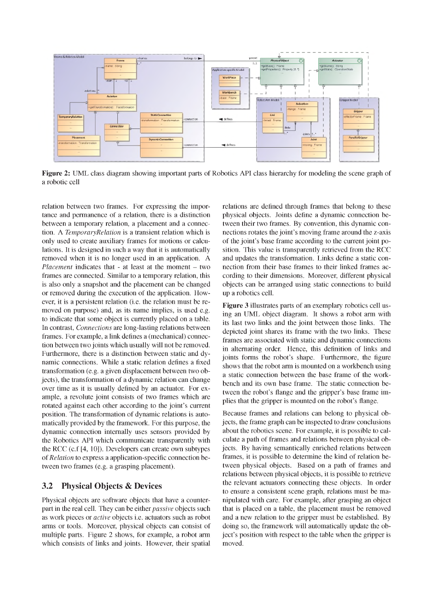

Figure 2: UML class diagram showing important parts of Robotics API class hierarchy for modeling the scene graph of a robotic cell

relation between two frames. For expressing the importance and permanence of a relation, there is a distinction between a temporary relation, a placement and a connection. A *TemporaryRelation* is a transient relation which is only used to create auxiliary frames for motions or calculations. It is designed in such a way that it is automatically removed when it is no longer used in an application. A *Placement* indicates that - at least at the moment – two frames are connected. Similar to a temporary relation, this is also only a snapshot and the placement can be changed or removed during the execution of the application. However, it is a persistent relation (i.e. the relation must be removed on purpose) and, as its name implies, is used e.g. to indicate that some object is currently placed on a table. In contrast, *Connections* are long-lasting relations between frames. For example, a link defines a (mechanical) connection between two joints which usually will not be removed. Furthermore, there is a distinction between static and dynamic connections. While a static relation defines a fixed transformation (e.g. a given displacement between two objects), the transformation of a dynamic relation can change over time as it is usually defined by an actuator. For example, a revolute joint consists of two frames which are rotated against each other according to the joint's current position. The transformation of dynamic relations is automatically provided by the framework. For this purpose, the dynamic connection internally uses sensors provided by the Robotics API which communicate transparently with the RCC (c.f [4, 10]). Developers can create own subtypes of *Relation* to express a application-specific connection between two frames (e.g. a grasping placement).

#### 3.2 Physical Objects & Devices

Physical objects are software objects that have a counterpart in the real cell. They can be either *passive* objects such as work pieces or *active* objects i.e. actuators such as robot arms or tools. Moreover, physical objects can consist of multiple parts. Figure 2 shows, for example, a robot arm which consists of links and joints. However, their spatial

relations are defined through frames that belong to these physical objects. Joints define a dynamic connection between their two frames. By convention, this dynamic connections rotates the joint's moving frame around the z-axis of the joint's base frame according to the current joint position. This value is transparently retrieved from the RCC and updates the transformation. Links define a static connection from their base frames to their linked frames according to their dimensions. Moreover, different physical objects can be arranged using static connections to build up a robotics cell.

Figure 3 illustrates parts of an exemplary robotics cell using an UML object diagram. It shows a robot arm with its last two links and the joint between those links. The depicted joint shares its frame with the two links. These frames are associated with static and dynamic connections in alternating order. Hence, this definition of links and joints forms the robot's shape. Furthermore, the figure shows that the robot arm is mounted on a workbench using a static connection between the base frame of the workbench and its own base frame. The static connection between the robot's flange and the gripper's base frame implies that the gripper is mounted on the robot's flange.

Because frames and relations can belong to physical objects, the frame graph can be inspected to draw conclusions about the robotics scene. For example, it is possible to calculate a path of frames and relations between physical objects. By having semantically enriched relations between frames, it is possible to determine the kind of relation between physical objects. Based on a path of frames and relations between physical objects, it is possible to retrieve the relevant actuators connecting these objects. In order to ensure a consistent scene graph, relations must be manipulated with care. For example, after grasping an object that is placed on a table, the placement must be removed and a new relation to the gripper must be established. By doing so, the framework will automatically update the object's position with respect to the table when the gripper is moved.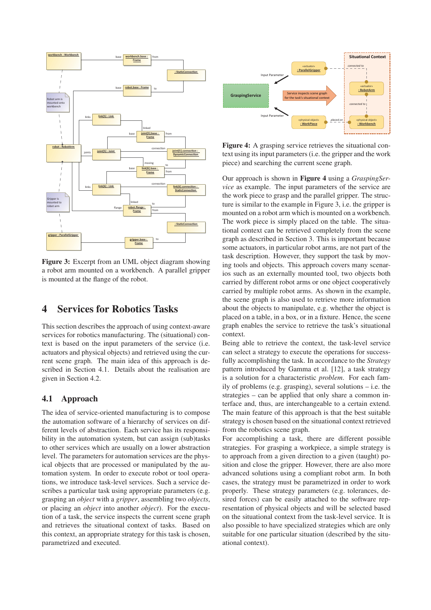

Figure 3: Excerpt from an UML object diagram showing a robot arm mounted on a workbench. A parallel gripper is mounted at the flange of the robot.

# 4 Services for Robotics Tasks

This section describes the approach of using context-aware services for robotics manufacturing. The (situational) context is based on the input parameters of the service (i.e. actuators and physical objects) and retrieved using the current scene graph. The main idea of this approach is described in Section 4.1. Details about the realisation are given in Section 4.2.

#### 4.1 Approach

The idea of service-oriented manufacturing is to compose the automation software of a hierarchy of services on different levels of abstraction. Each service has its responsibility in the automation system, but can assign (sub)tasks to other services which are usually on a lower abstraction level. The parameters for automation services are the physical objects that are processed or manipulated by the automation system. In order to execute robot or tool operations, we introduce task-level services. Such a service describes a particular task using appropriate parameters (e.g. grasping an *object* with a *gripper*, assembling two *objects*, or placing an *object* into another *object*). For the execution of a task, the service inspects the current scene graph and retrieves the situational context of tasks. Based on this context, an appropriate strategy for this task is chosen, parametrized and executed.



Figure 4: A grasping service retrieves the situational context using itsinput parameters(i.e. the gripper and the work piece) and searching the current scene graph.

Our approach is shown in Figure 4 using a *GraspingService* as example. The input parameters of the service are the work piece to grasp and the parallel gripper. The structure is similar to the example in Figure 3, i.e. the gripper is mounted on a robot arm which is mounted on a workbench. The work piece is simply placed on the table. The situational context can be retrieved completely from the scene graph as described in Section 3. This is important because some actuators, in particular robot arms, are not part of the task description. However, they support the task by moving tools and objects. This approach covers many scenarios such as an externally mounted tool, two objects both carried by different robot arms or one object cooperatively carried by multiple robot arms. As shown in the example, the scene graph is also used to retrieve more information about the objects to manipulate, e.g. whether the object is placed on a table, in a box, or in a fixture. Hence, the scene graph enables the service to retrieve the task's situational context.

Being able to retrieve the context, the task-level service can select a strategy to execute the operations for successfully accomplishing the task. In accordance to the *Strategy* pattern introduced by Gamma et al. [12], a task strategy is a solution for a characteristic *problem*. For each family of problems (e.g. grasping), several solutions – i.e. the strategies – can be applied that only share a common interface and, thus, are interchangeable to a certain extend. The main feature of this approach is that the best suitable strategy is chosen based on the situational context retrieved from the robotics scene graph.

For accomplishing a task, there are different possible strategies. For grasping a workpiece, a simple strategy is to approach from a given direction to a given (taught) position and close the gripper. However, there are also more advanced solutions using a compliant robot arm. In both cases, the strategy must be parametrized in order to work properly. These strategy parameters (e.g. tolerances, desired forces) can be easily attached to the software representation of physical objects and will be selected based on the situational context from the task-level service. It is also possible to have specialized strategies which are only suitable for one particular situation (described by the situational context).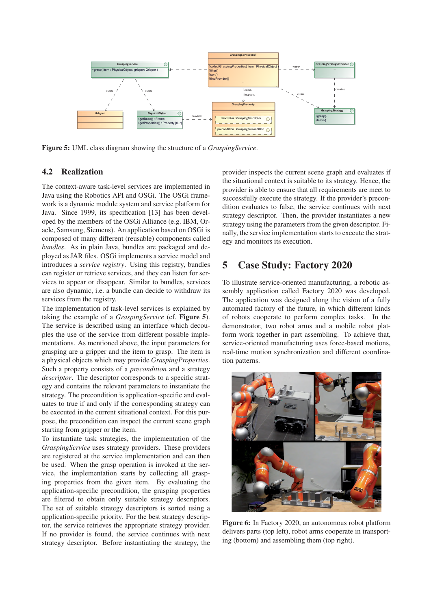

Figure 5: UML class diagram showing the structure of a *GraspingService*.

#### 4.2 Realization

The context-aware task-level services are implemented in Java using the Robotics API and OSGi. The OSGi framework is a dynamic module system and service platform for Java. Since 1999, its specification [13] has been developed by the members of the OSGi Alliance (e.g. IBM, Oracle, Samsung, Siemens). An application based on OSGi is composed of many different (reusable) components called *bundles*. As in plain Java, bundles are packaged and deployed as JAR files. OSGi implements a service model and introduces a *service registry*. Using this registry, bundles can register or retrieve services, and they can listen for services to appear or disappear. Similar to bundles, services are also dynamic, i.e. a bundle can decide to withdraw its services from the registry.

The implementation of task-level services is explained by taking the example of a *GraspingService* (cf. Figure 5). The service is described using an interface which decouples the use of the service from different possible implementations. As mentioned above, the input parameters for grasping are a gripper and the item to grasp. The item is a physical objects which may provide *GraspingProperties*. Such a property consists of a *precondition* and a strategy *descriptor*. The descriptor corresponds to a specific strategy and contains the relevant parameters to instantiate the strategy. The precondition is application-specific and evaluates to true if and only if the corresponding strategy can be executed in the current situational context. For this purpose, the precondition can inspect the current scene graph starting from gripper or the item.

To instantiate task strategies, the implementation of the *GraspingService* uses strategy providers. These providers are registered at the service implementation and can then be used. When the grasp operation is invoked at the service, the implementation starts by collecting all grasping properties from the given item. By evaluating the application-specific precondition, the grasping properties are filtered to obtain only suitable strategy descriptors. The set of suitable strategy descriptors is sorted using a application-specific priority. For the best strategy descriptor, the service retrieves the appropriate strategy provider. If no provider is found, the service continues with next strategy descriptor. Before instantiating the strategy, the provider inspects the current scene graph and evaluates if the situational context is suitable to its strategy. Hence, the provider is able to ensure that all requirements are meet to successfully execute the strategy. If the provider's precondition evaluates to false, the service continues with next strategy descriptor. Then, the provider instantiates a new strategy using the parameters from the given descriptor. Finally, the service implementation starts to execute the strategy and monitors its execution.

# 5 Case Study: Factory 2020

To illustrate service-oriented manufacturing, a robotic assembly application called Factory 2020 was developed. The application was designed along the vision of a fully automated factory of the future, in which different kinds of robots cooperate to perform complex tasks. In the demonstrator, two robot arms and a mobile robot platform work together in part assembling. To achieve that, service-oriented manufacturing uses force-based motions, real-time motion synchronization and different coordination patterns.



Figure 6: In Factory 2020, an autonomous robot platform delivers parts (top left), robot arms cooperate in transporting (bottom) and assembling them (top right).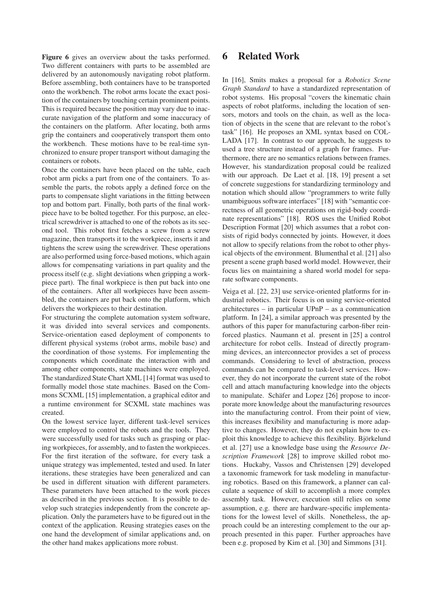Figure 6 gives an overview about the tasks performed. Two different containers with parts to be assembled are delivered by an autonomously navigating robot platform. Before assembling, both containers have to be transported onto the workbench. The robot arms locate the exact position of the containers by touching certain prominent points. This is required because the position may vary due to inaccurate navigation of the platform and some inaccuracy of the containers on the platform. After locating, both arms grip the containers and cooperatively transport them onto the workbench. These motions have to be real-time synchronized to ensure proper transport without damaging the containers or robots.

Once the containers have been placed on the table, each robot arm picks a part from one of the containers. To assemble the parts, the robots apply a defined force on the parts to compensate slight variations in the fitting between top and bottom part. Finally, both parts of the final workpiece have to be bolted together. For this purpose, an electrical screwdriver is attached to one of the robots as its second tool. This robot first fetches a screw from a screw magazine, then transports it to the workpiece, inserts it and tightens the screw using the screwdriver. These operations are also performed using force-based motions, which again allows for compensating variations in part quality and the process itself (e.g. slight deviations when gripping a workpiece part). The final workpiece is then put back into one of the containers. After all workpieces have been assembled, the containers are put back onto the platform, which delivers the workpieces to their destination.

For structuring the complete automation system software, it was divided into several services and components. Service-orientation eased deployment of components to different physical systems (robot arms, mobile base) and the coordination of those systems. For implementing the components which coordinate the interaction with and among other components, state machines were employed. The standardized State Chart XML [14] format was used to formally model those state machines. Based on the Commons SCXML [15] implementation, a graphical editor and a runtime environment for SCXML state machines was created.

On the lowest service layer, different task-level services were employed to control the robots and the tools. They were successfully used for tasks such as grasping or placing workpieces, for assembly, and to fasten the workpieces. For the first iteration of the software, for every task a unique strategy was implemented, tested and used. In later iterations, these strategies have been generalized and can be used in different situation with different parameters. These parameters have been attached to the work pieces as described in the previous section. It is possible to develop such strategies independently from the concrete application. Only the parameters have to be figured out in the context of the application. Reusing strategies eases on the one hand the development of similar applications and, on the other hand makes applications more robust.

# 6 Related Work

In [16], Smits makes a proposal for a *Robotics Scene Graph Standard* to have a standardized representation of robot systems. His proposal "covers the kinematic chain aspects of robot platforms, including the location of sensors, motors and tools on the chain, as well as the location of objects in the scene that are relevant to the robot's task" [16]. He proposes an XML syntax based on COL-LADA [17]. In contrast to our approach, he suggests to used a tree structure instead of a graph for frames. Furthermore, there are no semantics relations between frames. However, his standardization proposal could be realized with our approach. De Laet et al. [18, 19] present a set of concrete suggestions for standardizing terminology and notation which should allow "programmers to write fully unambiguous software interfaces" [18] with "semantic correctness of all geometric operations on rigid-body coordinate representations" [18]. ROS uses the Unified Robot Description Format [20] which assumes that a robot consists of rigid bodys connected by joints. However, it does not allow to specify relations from the robot to other physical objects of the environment. Blumenthal et al. [21] also present a scene graph based world model. Howwever, their focus lies on maintaining a shared world model for separate software components.

Veiga et al. [22, 23] use service-oriented platforms for industrial robotics. Their focus is on using service-oriented architectures – in particular UPnP – as a communication platform. In [24], a similar approach was presented by the authors of this paper for manufacturing carbon-fiber reinforced plastics. Naumann et al. present in [25] a control architecture for robot cells. Instead of directly programming devices, an interconnector provides a set of process commands. Considering to level of abstraction, process commands can be compared to task-level services. However, they do not incorporate the current state of the robot cell and attach manufacturing knowledge into the objects to manipulate. Schäfer and Lopez [26] propose to incorporate more knowledge about the manufacturing resources into the manufacturing control. From their point of view, this increases flexibility and manufacturing is more adaptive to changes. However, they do not explain how to exploit this knowledge to achieve this flexibility. Björkelund et al. [27] use a knowledge base using the *Resource Description Framework* [28] to improve skilled robot motions. Huckaby, Vassos and Christensen [29] developed a taxonomic framework for task modeling in manufacturing robotics. Based on this framework, a planner can calculate a sequence of skill to accomplish a more complex assembly task. However, execution still relies on some assumption, e.g. there are hardware-specific implementations for the lowest level of skills. Nonetheless, the approach could be an interesting complement to the our approach presented in this paper. Further approaches have been e.g. proposed by Kim et al. [30] and Simmons [31].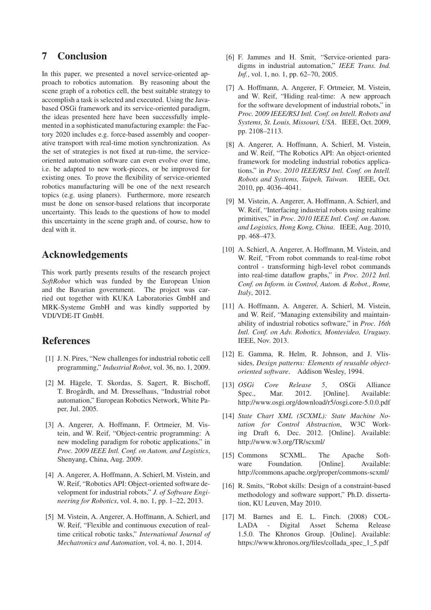# 7 Conclusion

In this paper, we presented a novel service-oriented approach to robotics automation. By reasoning about the scene graph of a robotics cell, the best suitable strategy to accomplish a task is selected and executed. Using the Javabased OSGi framework and its service-oriented paradigm, the ideas presented here have been successfully implemented in a sophisticated manufacturing example: the Factory 2020 includes e.g. force-based assembly and cooperative transport with real-time motion synchronization. As the set of strategies is not fixed at run-time, the serviceoriented automation software can even evolve over time, i.e. be adapted to new work-pieces, or be improved for existing ones. To prove the flexibility of service-oriented robotics manufacturing will be one of the next research topics (e.g. using planers). Furthermore, more research must be done on sensor-based relations that incorporate uncertainty. This leads to the questions of how to model this uncertainty in the scene graph and, of course, how to deal with it.

### Acknowledgements

This work partly presents results of the research project *SoftRobot* which was funded by the European Union and the Bavarian government. The project was carried out together with KUKA Laboratories GmbH and MRK-Systeme GmbH and was kindly supported by VDI/VDE-IT GmbH.

### References

- [1] J. N. Pires, "New challenges for industrial robotic cell programming," *Industrial Robot*, vol. 36, no. 1, 2009.
- [2] M. Hägele, T. Skordas, S. Sagert, R. Bischoff, T. Brogårdh, and M. Dresselhaus, "Industrial robot automation," European Robotics Network, White Paper, Jul. 2005.
- [3] A. Angerer, A. Hoffmann, F. Ortmeier, M. Vistein, and W. Reif, "Object-centric programming: A new modeling paradigm for robotic applications," in *Proc. 2009 IEEE Intl. Conf. on Autom. and Logistics*, Shenyang, China, Aug. 2009.
- [4] A. Angerer, A. Hoffmann, A. Schierl, M. Vistein, and W. Reif, "Robotics API: Object-oriented software development for industrial robots," *J. of Software Engineering for Robotics*, vol. 4, no. 1, pp. 1–22, 2013.
- [5] M. Vistein, A. Angerer, A. Hoffmann, A. Schierl, and W. Reif, "Flexible and continuous execution of realtime critical robotic tasks," *International Journal of Mechatronics and Automation*, vol. 4, no. 1, 2014.
- [6] F. Jammes and H. Smit, "Service-oriented paradigms in industrial automation," *IEEE Trans. Ind. Inf.*, vol. 1, no. 1, pp. 62–70, 2005.
- [7] A. Hoffmann, A. Angerer, F. Ortmeier, M. Vistein, and W. Reif, "Hiding real-time: A new approach for the software development of industrial robots," in *Proc. 2009 IEEE/RSJ Intl. Conf. on Intell. Robots and Systems, St. Louis, Missouri, USA*. IEEE, Oct. 2009, pp. 2108–2113.
- [8] A. Angerer, A. Hoffmann, A. Schierl, M. Vistein, and W. Reif, "The Robotics API: An object-oriented framework for modeling industrial robotics applications," in *Proc. 2010 IEEE/RSJ Intl. Conf. on Intell. Robots and Systems, Taipeh, Taiwan*. IEEE, Oct. 2010, pp. 4036–4041.
- [9] M. Vistein, A. Angerer, A. Hoffmann, A. Schierl, and W. Reif, "Interfacing industrial robots using realtime primitives," in *Proc. 2010 IEEE Intl. Conf. on Autom. and Logistics, Hong Kong, China*. IEEE, Aug. 2010, pp. 468–473.
- [10] A. Schierl, A. Angerer, A. Hoffmann, M. Vistein, and W. Reif, "From robot commands to real-time robot control - transforming high-level robot commands into real-time dataflow graphs," in *Proc. 2012 Intl. Conf. on Inform. in Control, Autom. & Robot., Rome, Italy*, 2012.
- [11] A. Hoffmann, A. Angerer, A. Schierl, M. Vistein, and W. Reif, "Managing extensibility and maintainability of industrial robotics software," in *Proc. 16th Intl. Conf. on Adv. Robotics, Montevideo, Uruguay*. IEEE, Nov. 2013.
- [12] E. Gamma, R. Helm, R. Johnson, and J. Vlissides, *Design patterns: Elements of reusable objectoriented software*. Addison Wesley, 1994.
- [13] *OSGi Core Release 5*, OSGi Alliance Spec., Mar. 2012. [Online]. Available: http://www.osgi.org/download/r5/osgi.core-5.0.0.pdf
- [14] *State Chart XML (SCXML): State Machine Notation for Control Abstraction*, W3C Working Draft 6, Dec. 2012. [Online]. Available: http://www.w3.org/TR/scxml/
- [15] Commons SCXML. The Apache Software Foundation. [Online]. Available: http://commons.apache.org/proper/commons-scxml/
- [16] R. Smits, "Robot skills: Design of a constraint-based methodology and software support," Ph.D. dissertation, KU Leuven, May 2010.
- [17] M. Barnes and E. L. Finch. (2008) COL-LADA - Digital Asset Schema Release 1.5.0. The Khronos Group. [Online]. Available: https://www.khronos.org/files/collada\_spec\_1\_5.pdf